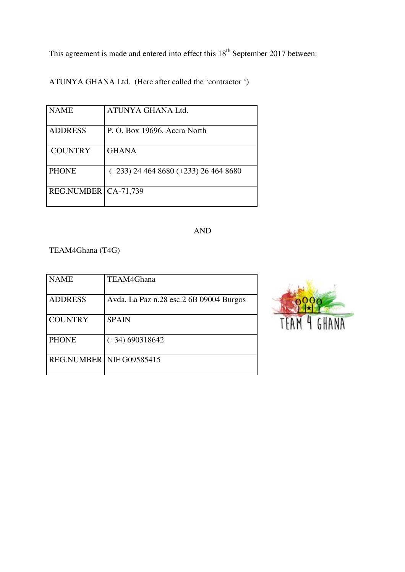This agreement is made and entered into effect this  $18<sup>th</sup>$  September 2017 between:

ATUNYA GHANA Ltd. (Here after called the 'contractor ')

| <b>NAME</b>            | ATUNYA GHANA Ltd.                         |
|------------------------|-------------------------------------------|
| <b>ADDRESS</b>         | P. O. Box 19696, Accra North              |
| <b>COUNTRY</b>         | <b>GHANA</b>                              |
| <b>PHONE</b>           | $(+233)$ 24 464 8680 $(+233)$ 26 464 8680 |
| REG.NUMBER   CA-71,739 |                                           |

# AND

TEAM4Ghana (T4G)

| <b>NAME</b>              | TEAM4Ghana                              |
|--------------------------|-----------------------------------------|
| <b>ADDRESS</b>           | Avda. La Paz n.28 esc.2 6B 09004 Burgos |
| <b>COUNTRY</b>           | <b>SPAIN</b>                            |
| <b>PHONE</b>             | $(+34)$ 690318642                       |
| REG.NUMBER NIF G09585415 |                                         |

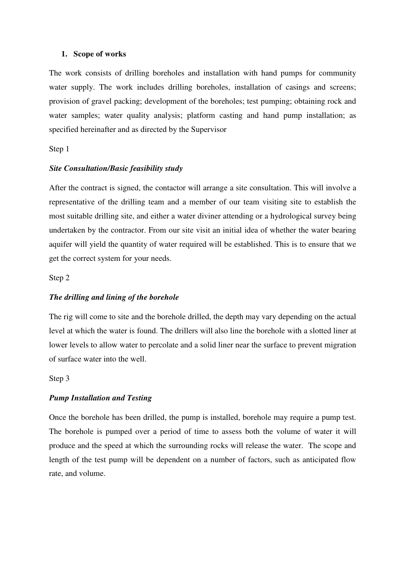#### **1. Scope of works**

The work consists of drilling boreholes and installation with hand pumps for community water supply. The work includes drilling boreholes, installation of casings and screens; provision of gravel packing; development of the boreholes; test pumping; obtaining rock and water samples; water quality analysis; platform casting and hand pump installation; as specified hereinafter and as directed by the Supervisor

#### Step 1

#### *Site Consultation/Basic feasibility study*

After the contract is signed, the contactor will arrange a site consultation. This will involve a representative of the drilling team and a member of our team visiting site to establish the most suitable drilling site, and either a water diviner attending or a hydrological survey being undertaken by the contractor. From our site visit an initial idea of whether the water bearing aquifer will yield the quantity of water required will be established. This is to ensure that we get the correct system for your needs.

Step 2

### *The drilling and lining of the borehole*

The rig will come to site and the borehole drilled, the depth may vary depending on the actual level at which the water is found. The drillers will also line the borehole with a slotted liner at lower levels to allow water to percolate and a solid liner near the surface to prevent migration of surface water into the well.

Step 3

## *Pump Installation and Testing*

Once the borehole has been drilled, the pump is installed, borehole may require a pump test. The borehole is pumped over a period of time to assess both the volume of water it will produce and the speed at which the surrounding rocks will release the water. The scope and length of the test pump will be dependent on a number of factors, such as anticipated flow rate, and volume.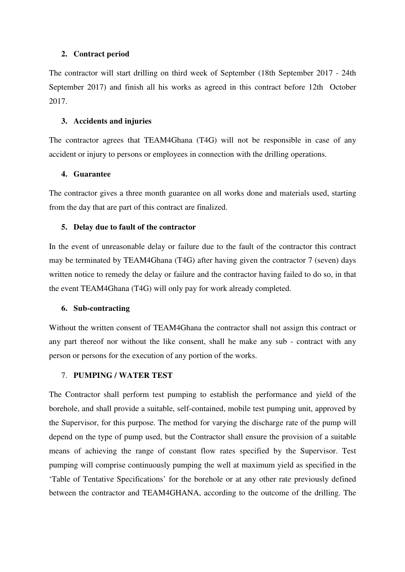## **2. Contract period**

The contractor will start drilling on third week of September (18th September 2017 - 24th September 2017) and finish all his works as agreed in this contract before 12th October 2017.

### **3. Accidents and injuries**

The contractor agrees that TEAM4Ghana (T4G) will not be responsible in case of any accident or injury to persons or employees in connection with the drilling operations.

## **4. Guarantee**

The contractor gives a three month guarantee on all works done and materials used, starting from the day that are part of this contract are finalized.

## **5. Delay due to fault of the contractor**

In the event of unreasonable delay or failure due to the fault of the contractor this contract may be terminated by TEAM4Ghana (T4G) after having given the contractor 7 (seven) days written notice to remedy the delay or failure and the contractor having failed to do so, in that the event TEAM4Ghana (T4G) will only pay for work already completed.

#### **6. Sub-contracting**

Without the written consent of TEAM4Ghana the contractor shall not assign this contract or any part thereof nor without the like consent, shall he make any sub - contract with any person or persons for the execution of any portion of the works.

## 7. **PUMPING / WATER TEST**

The Contractor shall perform test pumping to establish the performance and yield of the borehole, and shall provide a suitable, self-contained, mobile test pumping unit, approved by the Supervisor, for this purpose. The method for varying the discharge rate of the pump will depend on the type of pump used, but the Contractor shall ensure the provision of a suitable means of achieving the range of constant flow rates specified by the Supervisor. Test pumping will comprise continuously pumping the well at maximum yield as specified in the 'Table of Tentative Specifications' for the borehole or at any other rate previously defined between the contractor and TEAM4GHANA, according to the outcome of the drilling. The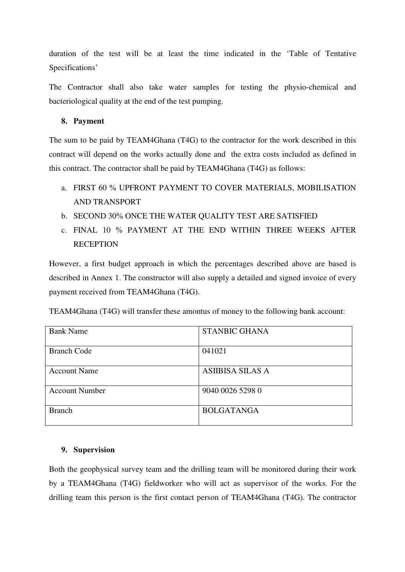duration of the test will be at least the time indicated in the 'Table of Tentative Specifications'

The Contractor shall also take water samples for testing the physio-chemical and bacteriological quality at the end of the test pumping.

## **8. Payment**

The sum to be paid by TEAM4Ghana (T4G) to the contractor for the work described in this contract will depend on the works actually done and the extra costs included as defined in this contract. The contractor shall be paid by TEAM4Ghana (T4G) as follows:

- a. FIRST 60 % UPFRONT PAYMENT TO COVER MATERIALS, MOBILISATION AND TRANSPORT
- b. SECOND 30% ONCE THE WATER QUALITY TEST ARE SATISFIED
- c. FINAL 10 % PAYMENT AT THE END WITHIN THREE WEEKS AFTER **RECEPTION**

However, a first budget approach in which the percentages described above are based is described in Annex 1. The constructor will also supply a detailed and signed invoice of every payment received from TEAM4Ghana (T4G).

TEAM4Ghana (T4G) will transfer these amontus of money to the following bank account:

| <b>Bank Name</b>      | <b>STANBIC GHANA</b>    |
|-----------------------|-------------------------|
| <b>Branch Code</b>    | 041021                  |
| <b>Account Name</b>   | <b>ASIIBISA SILAS A</b> |
| <b>Account Number</b> | 9040 0026 5298 0        |
| <b>Branch</b>         | <b>BOLGATANGA</b>       |

## **9. Supervision**

Both the geophysical survey team and the drilling team will be monitored during their work by a TEAM4Ghana (T4G) fieldworker who will act as supervisor of the works. For the drilling team this person is the first contact person of TEAM4Ghana (T4G). The contractor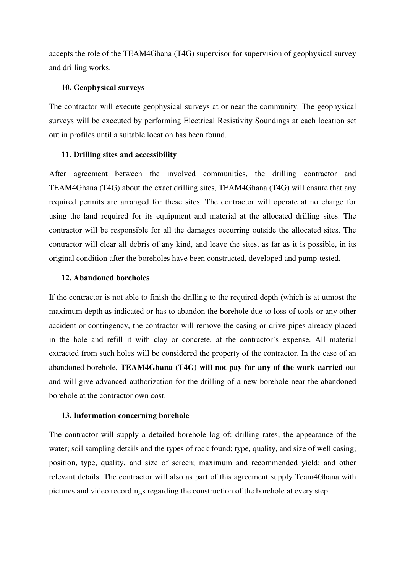accepts the role of the TEAM4Ghana (T4G) supervisor for supervision of geophysical survey and drilling works.

#### **10. Geophysical surveys**

The contractor will execute geophysical surveys at or near the community. The geophysical surveys will be executed by performing Electrical Resistivity Soundings at each location set out in profiles until a suitable location has been found.

#### **11. Drilling sites and accessibility**

After agreement between the involved communities, the drilling contractor and TEAM4Ghana (T4G) about the exact drilling sites, TEAM4Ghana (T4G) will ensure that any required permits are arranged for these sites. The contractor will operate at no charge for using the land required for its equipment and material at the allocated drilling sites. The contractor will be responsible for all the damages occurring outside the allocated sites. The contractor will clear all debris of any kind, and leave the sites, as far as it is possible, in its original condition after the boreholes have been constructed, developed and pump-tested.

#### **12. Abandoned boreholes**

If the contractor is not able to finish the drilling to the required depth (which is at utmost the maximum depth as indicated or has to abandon the borehole due to loss of tools or any other accident or contingency, the contractor will remove the casing or drive pipes already placed in the hole and refill it with clay or concrete, at the contractor's expense. All material extracted from such holes will be considered the property of the contractor. In the case of an abandoned borehole, **TEAM4Ghana (T4G) will not pay for any of the work carried** out and will give advanced authorization for the drilling of a new borehole near the abandoned borehole at the contractor own cost.

#### **13. Information concerning borehole**

The contractor will supply a detailed borehole log of: drilling rates; the appearance of the water; soil sampling details and the types of rock found; type, quality, and size of well casing; position, type, quality, and size of screen; maximum and recommended yield; and other relevant details. The contractor will also as part of this agreement supply Team4Ghana with pictures and video recordings regarding the construction of the borehole at every step.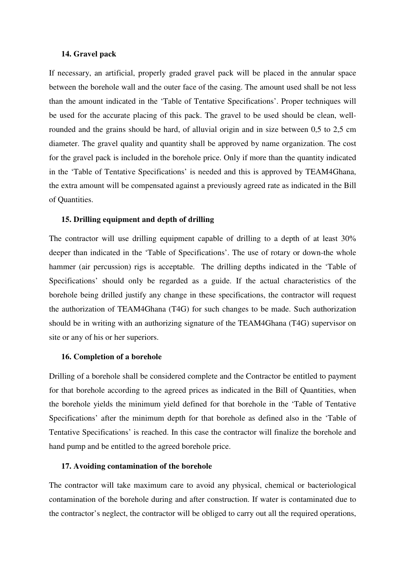### **14. Gravel pack**

If necessary, an artificial, properly graded gravel pack will be placed in the annular space between the borehole wall and the outer face of the casing. The amount used shall be not less than the amount indicated in the 'Table of Tentative Specifications'. Proper techniques will be used for the accurate placing of this pack. The gravel to be used should be clean, wellrounded and the grains should be hard, of alluvial origin and in size between 0,5 to 2,5 cm diameter. The gravel quality and quantity shall be approved by name organization. The cost for the gravel pack is included in the borehole price. Only if more than the quantity indicated in the 'Table of Tentative Specifications' is needed and this is approved by TEAM4Ghana, the extra amount will be compensated against a previously agreed rate as indicated in the Bill of Quantities.

## **15. Drilling equipment and depth of drilling**

The contractor will use drilling equipment capable of drilling to a depth of at least 30% deeper than indicated in the 'Table of Specifications'. The use of rotary or down-the whole hammer (air percussion) rigs is acceptable. The drilling depths indicated in the 'Table of Specifications' should only be regarded as a guide. If the actual characteristics of the borehole being drilled justify any change in these specifications, the contractor will request the authorization of TEAM4Ghana (T4G) for such changes to be made. Such authorization should be in writing with an authorizing signature of the TEAM4Ghana (T4G) supervisor on site or any of his or her superiors.

#### **16. Completion of a borehole**

Drilling of a borehole shall be considered complete and the Contractor be entitled to payment for that borehole according to the agreed prices as indicated in the Bill of Quantities, when the borehole yields the minimum yield defined for that borehole in the 'Table of Tentative Specifications' after the minimum depth for that borehole as defined also in the 'Table of Tentative Specifications' is reached. In this case the contractor will finalize the borehole and hand pump and be entitled to the agreed borehole price.

### **17. Avoiding contamination of the borehole**

The contractor will take maximum care to avoid any physical, chemical or bacteriological contamination of the borehole during and after construction. If water is contaminated due to the contractor's neglect, the contractor will be obliged to carry out all the required operations,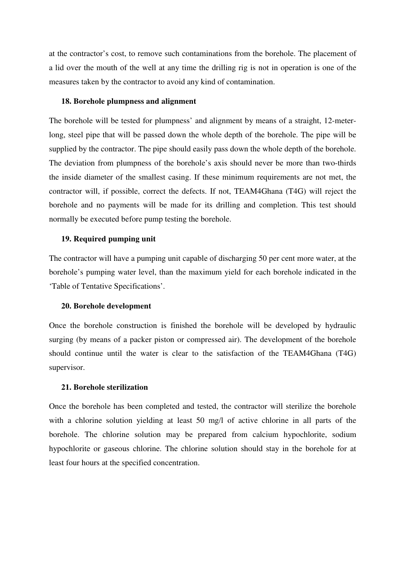at the contractor's cost, to remove such contaminations from the borehole. The placement of a lid over the mouth of the well at any time the drilling rig is not in operation is one of the measures taken by the contractor to avoid any kind of contamination.

#### **18. Borehole plumpness and alignment**

The borehole will be tested for plumpness' and alignment by means of a straight, 12-meterlong, steel pipe that will be passed down the whole depth of the borehole. The pipe will be supplied by the contractor. The pipe should easily pass down the whole depth of the borehole. The deviation from plumpness of the borehole's axis should never be more than two-thirds the inside diameter of the smallest casing. If these minimum requirements are not met, the contractor will, if possible, correct the defects. If not, TEAM4Ghana (T4G) will reject the borehole and no payments will be made for its drilling and completion. This test should normally be executed before pump testing the borehole.

#### **19. Required pumping unit**

The contractor will have a pumping unit capable of discharging 50 per cent more water, at the borehole's pumping water level, than the maximum yield for each borehole indicated in the 'Table of Tentative Specifications'.

#### **20. Borehole development**

Once the borehole construction is finished the borehole will be developed by hydraulic surging (by means of a packer piston or compressed air). The development of the borehole should continue until the water is clear to the satisfaction of the TEAM4Ghana (T4G) supervisor.

#### **21. Borehole sterilization**

Once the borehole has been completed and tested, the contractor will sterilize the borehole with a chlorine solution yielding at least 50 mg/l of active chlorine in all parts of the borehole. The chlorine solution may be prepared from calcium hypochlorite, sodium hypochlorite or gaseous chlorine. The chlorine solution should stay in the borehole for at least four hours at the specified concentration.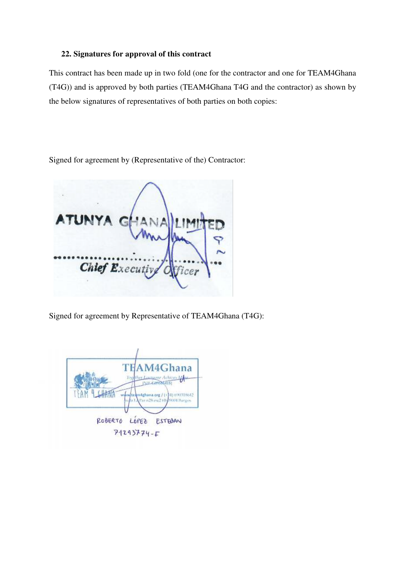## **22. Signatures for approval of this contract**

This contract has been made up in two fold (one for the contractor and one for TEAM4Ghana (T4G)) and is approved by both parties (TEAM4Ghana T4G and the contractor) as shown by the below signatures of representatives of both parties on both copies:

Signed for agreement by (Representative of the) Contractor:

Chief Executiv icer

Signed for agreement by Representative of TEAM4Ghana (T4G):

TE  $M40$ ana **CKATT** 4) 690318642 ore **COM** Harriss ROBERTO LÓPEZ ESTEDAN  $71293774 - F$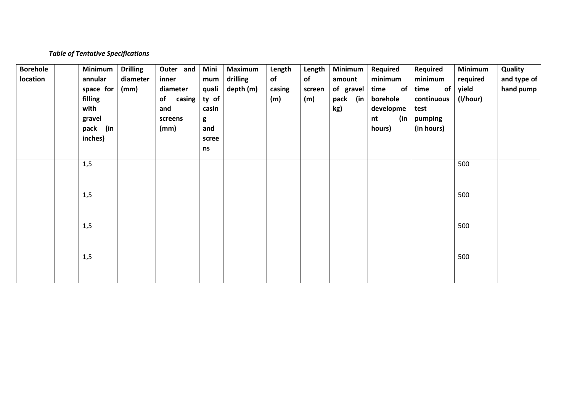## *Table of Tentative Specifications*

| <b>Borehole</b> | Minimum     | <b>Drilling</b> | Outer and    | Mini  | <b>Maximum</b> | Length | Length | Minimum     | <b>Required</b> | Required   | <b>Minimum</b> | Quality     |
|-----------------|-------------|-----------------|--------------|-------|----------------|--------|--------|-------------|-----------------|------------|----------------|-------------|
| location        | annular     | diameter        | inner        | mum   | drilling       | of     | of     | amount      | minimum         | minimum    | required       | and type of |
|                 | space for   | (mm)            | diameter     | quali | depth (m)      | casing | screen | of gravel   | time<br>of      | time<br>of | yield          | hand pump   |
|                 | filling     |                 | casing<br>of | ty of |                | (m)    | (m)    | pack<br>(in | borehole        | continuous | (I/hour)       |             |
|                 | with        |                 | and          | casin |                |        |        | kg)         | developme       | test       |                |             |
|                 | gravel      |                 | screens      | g     |                |        |        |             | (in<br>nt       | pumping    |                |             |
|                 | pack<br>(in |                 | (mm)         | and   |                |        |        |             | hours)          | (in hours) |                |             |
|                 | inches)     |                 |              | scree |                |        |        |             |                 |            |                |             |
|                 |             |                 |              | ns    |                |        |        |             |                 |            |                |             |
|                 | 1,5         |                 |              |       |                |        |        |             |                 |            | 500            |             |
|                 |             |                 |              |       |                |        |        |             |                 |            |                |             |
|                 |             |                 |              |       |                |        |        |             |                 |            |                |             |
|                 |             |                 |              |       |                |        |        |             |                 |            |                |             |
|                 | 1,5         |                 |              |       |                |        |        |             |                 |            | 500            |             |
|                 |             |                 |              |       |                |        |        |             |                 |            |                |             |
|                 |             |                 |              |       |                |        |        |             |                 |            |                |             |
|                 | 1,5         |                 |              |       |                |        |        |             |                 |            | 500            |             |
|                 |             |                 |              |       |                |        |        |             |                 |            |                |             |
|                 |             |                 |              |       |                |        |        |             |                 |            |                |             |
|                 | 1,5         |                 |              |       |                |        |        |             |                 |            | 500            |             |
|                 |             |                 |              |       |                |        |        |             |                 |            |                |             |
|                 |             |                 |              |       |                |        |        |             |                 |            |                |             |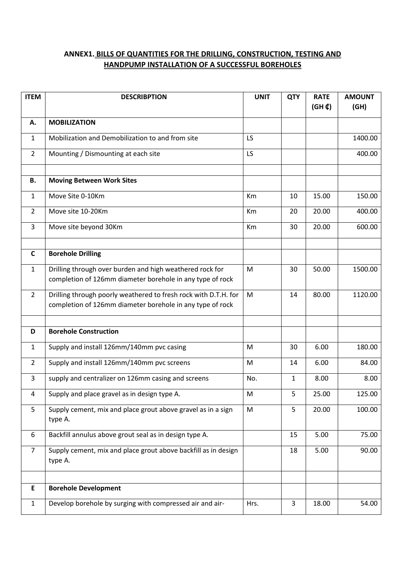# **ANNEX1. BILLS OF QUANTITIES FOR THE DRILLING, CONSTRUCTION, TESTING AND HANDPUMP INSTALLATION OF A SUCCESSFUL BOREHOLES**

| <b>ITEM</b>    | <b>DESCRIBPTION</b>                                                                                                          | <b>UNIT</b> | <b>QTY</b>   | <b>RATE</b><br>$(GH \n$ | <b>AMOUNT</b><br>(GH) |
|----------------|------------------------------------------------------------------------------------------------------------------------------|-------------|--------------|-------------------------|-----------------------|
| А.             | <b>MOBILIZATION</b>                                                                                                          |             |              |                         |                       |
| 1              | Mobilization and Demobilization to and from site                                                                             | LS          |              |                         | 1400.00               |
| $\overline{2}$ | Mounting / Dismounting at each site                                                                                          | LS          |              |                         | 400.00                |
|                |                                                                                                                              |             |              |                         |                       |
| В.             | <b>Moving Between Work Sites</b>                                                                                             |             |              |                         |                       |
| 1              | Move Site 0-10Km                                                                                                             | Km          | 10           | 15.00                   | 150.00                |
| $\overline{2}$ | Move site 10-20Km                                                                                                            | Km          | 20           | 20.00                   | 400.00                |
| 3              | Move site beyond 30Km                                                                                                        | Km          | 30           | 20.00                   | 600.00                |
|                |                                                                                                                              |             |              |                         |                       |
| C              | <b>Borehole Drilling</b>                                                                                                     |             |              |                         |                       |
| 1              | Drilling through over burden and high weathered rock for<br>completion of 126mm diameter borehole in any type of rock        | M           | 30           | 50.00                   | 1500.00               |
| $\overline{2}$ | Drilling through poorly weathered to fresh rock with D.T.H. for<br>completion of 126mm diameter borehole in any type of rock | M           | 14           | 80.00                   | 1120.00               |
| D              | <b>Borehole Construction</b>                                                                                                 |             |              |                         |                       |
| 1              | Supply and install 126mm/140mm pvc casing                                                                                    | M           | 30           | 6.00                    | 180.00                |
| $\overline{2}$ | Supply and install 126mm/140mm pvc screens                                                                                   | M           | 14           | 6.00                    | 84.00                 |
| 3              | supply and centralizer on 126mm casing and screens                                                                           | No.         | $\mathbf{1}$ | 8.00                    | 8.00                  |
| 4              | Supply and place gravel as in design type A.                                                                                 | M           | 5            | 25.00                   | 125.00                |
| 5              | Supply cement, mix and place grout above gravel as in a sign<br>type A.                                                      | M           | 5            | 20.00                   | 100.00                |
| 6              | Backfill annulus above grout seal as in design type A.                                                                       |             | 15           | 5.00                    | 75.00                 |
| $\overline{7}$ | Supply cement, mix and place grout above backfill as in design<br>type A.                                                    |             | 18           | 5.00                    | 90.00                 |
|                |                                                                                                                              |             |              |                         |                       |
| E              | <b>Borehole Development</b>                                                                                                  |             |              |                         |                       |
| $\mathbf{1}$   | Develop borehole by surging with compressed air and air-                                                                     | Hrs.        | 3            | 18.00                   | 54.00                 |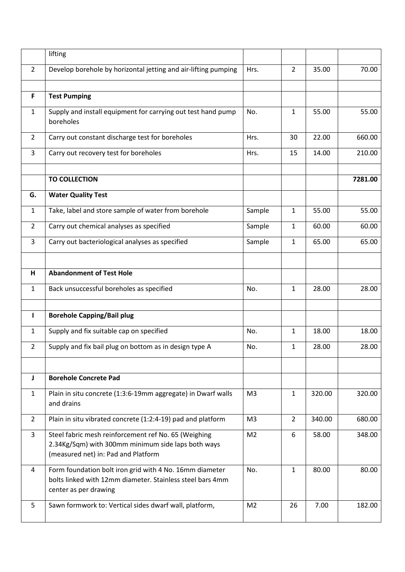|                | lifting                                                                                                                                           |                |                |        |         |
|----------------|---------------------------------------------------------------------------------------------------------------------------------------------------|----------------|----------------|--------|---------|
| $\overline{2}$ | Develop borehole by horizontal jetting and air-lifting pumping                                                                                    | Hrs.           | $\overline{2}$ | 35.00  | 70.00   |
| F              | <b>Test Pumping</b>                                                                                                                               |                |                |        |         |
| $\mathbf{1}$   | Supply and install equipment for carrying out test hand pump<br>boreholes                                                                         | No.            | $\mathbf{1}$   | 55.00  | 55.00   |
| $\overline{2}$ | Carry out constant discharge test for boreholes                                                                                                   | Hrs.           | 30             | 22.00  | 660.00  |
| 3              | Carry out recovery test for boreholes                                                                                                             | Hrs.           | 15             | 14.00  | 210.00  |
|                | <b>TO COLLECTION</b>                                                                                                                              |                |                |        | 7281.00 |
| G.             | <b>Water Quality Test</b>                                                                                                                         |                |                |        |         |
| 1              | Take, label and store sample of water from borehole                                                                                               | Sample         | $\mathbf{1}$   | 55.00  | 55.00   |
| $\overline{2}$ | Carry out chemical analyses as specified                                                                                                          | Sample         | 1              | 60.00  | 60.00   |
| 3              | Carry out bacteriological analyses as specified                                                                                                   | Sample         | 1              | 65.00  | 65.00   |
|                |                                                                                                                                                   |                |                |        |         |
| н              | <b>Abandonment of Test Hole</b>                                                                                                                   |                |                |        |         |
| $\mathbf{1}$   | Back unsuccessful boreholes as specified                                                                                                          | No.            | $\mathbf{1}$   | 28.00  | 28.00   |
| $\mathbf{I}$   | <b>Borehole Capping/Bail plug</b>                                                                                                                 |                |                |        |         |
| 1              | Supply and fix suitable cap on specified                                                                                                          | No.            | 1              | 18.00  | 18.00   |
| $\overline{2}$ | Supply and fix bail plug on bottom as in design type A                                                                                            | No.            | $\mathbf{1}$   | 28.00  | 28.00   |
|                |                                                                                                                                                   |                |                |        |         |
| J              | <b>Borehole Concrete Pad</b>                                                                                                                      |                |                |        |         |
| $\mathbf{1}$   | Plain in situ concrete (1:3:6-19mm aggregate) in Dwarf walls<br>and drains                                                                        | M <sub>3</sub> | $\mathbf{1}$   | 320.00 | 320.00  |
| $\overline{2}$ | Plain in situ vibrated concrete (1:2:4-19) pad and platform                                                                                       | M <sub>3</sub> | $\overline{2}$ | 340.00 | 680.00  |
| 3              | Steel fabric mesh reinforcement ref No. 65 (Weighing<br>2.34Kg/Sqm) with 300mm minimum side laps both ways<br>(measured net) in: Pad and Platform | M <sub>2</sub> | 6              | 58.00  | 348.00  |
| 4              | Form foundation bolt iron grid with 4 No. 16mm diameter<br>bolts linked with 12mm diameter. Stainless steel bars 4mm<br>center as per drawing     | No.            | $\mathbf{1}$   | 80.00  | 80.00   |
| 5              | Sawn formwork to: Vertical sides dwarf wall, platform,                                                                                            | M <sub>2</sub> | 26             | 7.00   | 182.00  |